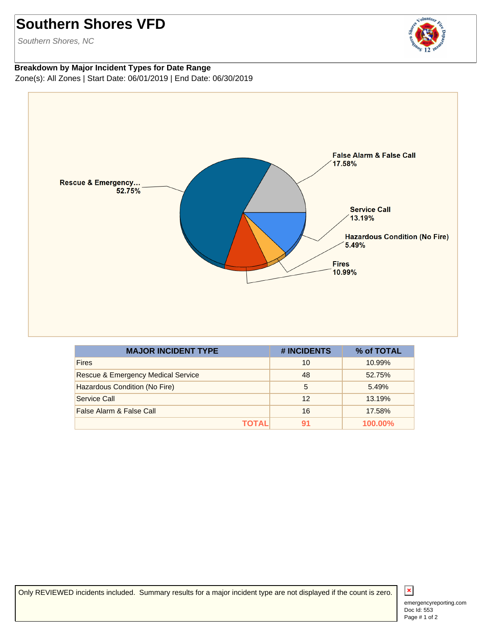## **Southern Shores VFD**

Southern Shores, NC



## **Breakdown by Major Incident Types for Date Range** Zone(s): All Zones | Start Date: 06/01/2019 | End Date: 06/30/2019



| <b>MAJOR INCIDENT TYPE</b>                    | # INCIDENTS | % of TOTAL |
|-----------------------------------------------|-------------|------------|
| <b>Fires</b>                                  | 10          | 10.99%     |
| <b>Rescue &amp; Emergency Medical Service</b> | 48          | 52.75%     |
| Hazardous Condition (No Fire)                 | 5           | 5.49%      |
| Service Call                                  | 12          | 13.19%     |
| False Alarm & False Call                      | 16          | 17.58%     |
| TOTAL                                         | 91          | 100.00%    |

Only REVIEWED incidents included. Summary results for a major incident type are not displayed if the count is zero.